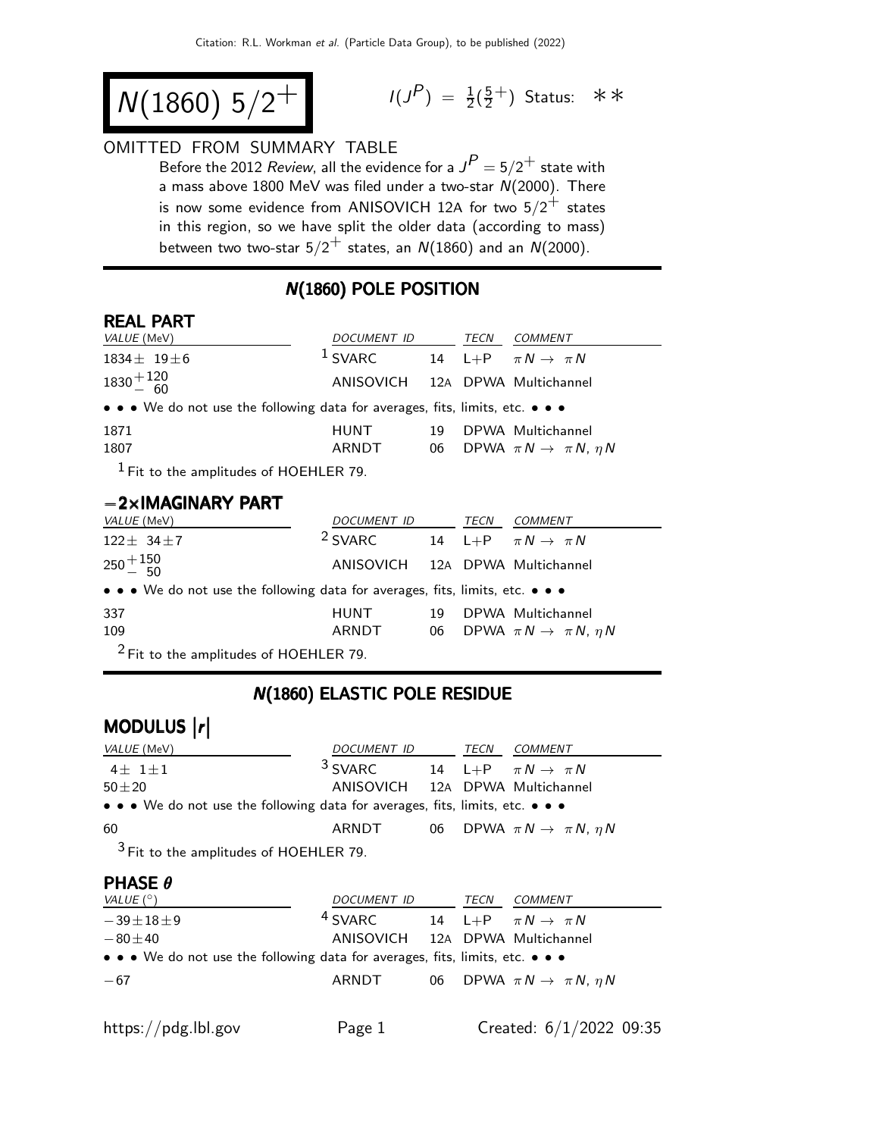$$
N(1860) 5/2^+
$$

$$
I(J^{P}) = \frac{1}{2}(\frac{5}{2}^{+})
$$
 Status:  $\ast \ast$ 

# OMITTED FROM SUMMARY TABLE

Before the 2012 *Review*, all the evidence for a  $J^P = 5/2^+$  state with a mass above 1800 MeV was filed under a two-star  $N(2000)$ . There is now some evidence from ANISOVICH 12A for two  $5/2^+$  states in this region, so we have split the older data (according to mass) between two two-star  $5/2^+$  states, an  $N(1860)$  and an  $N(2000)$ .

## N(1860) POLE POSITION

#### REAL PART

| <i>VALUE</i> (MeV)                                                            | DOCUMENT ID                     |    | TECN | <i>COMMENT</i>                               |  |
|-------------------------------------------------------------------------------|---------------------------------|----|------|----------------------------------------------|--|
| $1834 \pm 19 \pm 6$                                                           | $1$ SVARC                       |    |      | 14 L+P $\pi N \rightarrow \pi N$             |  |
| $1830 + {120 \over 60}$                                                       | ANISOVICH 12A DPWA Multichannel |    |      |                                              |  |
| • • • We do not use the following data for averages, fits, limits, etc. • • • |                                 |    |      |                                              |  |
| 1871                                                                          | <b>HUNT</b>                     | 19 |      | DPWA Multichannel                            |  |
| 1807                                                                          | ARNDT                           |    |      | 06 DPWA $\pi N \rightarrow \pi N$ , $\eta N$ |  |
| $1$ Fit to the amplitudes of HOFHI FR 79                                      |                                 |    |      |                                              |  |

 $^1$  Fit to the amplitudes of HOEHLER 79.

### −2×IMAGINARY PART

| <i>VALUE</i> (MeV)                                                            | DOCUMENT ID                     |    | TECN | COMMENT                                      |  |
|-------------------------------------------------------------------------------|---------------------------------|----|------|----------------------------------------------|--|
| $122 \pm 34 \pm 7$                                                            | <sup>2</sup> SVARC              |    |      | 14 L+P $\pi N \rightarrow \pi N$             |  |
| $250 + 150$                                                                   | ANISOVICH 12A DPWA Multichannel |    |      |                                              |  |
| • • • We do not use the following data for averages, fits, limits, etc. • • • |                                 |    |      |                                              |  |
| 337                                                                           | <b>HUNT</b>                     | 19 |      | DPWA Multichannel                            |  |
| 109                                                                           | ARNDT                           |    |      | 06 DPWA $\pi N \rightarrow \pi N$ , $\eta N$ |  |
| $2$ Fit to the amplitudes of HOEHLER 79.                                      |                                 |    |      |                                              |  |

## N(1860) ELASTIC POLE RESIDUE

# MODULUS  $\vert r \vert$

| <i>VALUE</i> (MeV)                                                                                                                                                                                                                                                                                                     | DOCUMENT ID                     |  | TECN | <i>COMMENT</i>                               |  |
|------------------------------------------------------------------------------------------------------------------------------------------------------------------------------------------------------------------------------------------------------------------------------------------------------------------------|---------------------------------|--|------|----------------------------------------------|--|
| $4+1+1$                                                                                                                                                                                                                                                                                                                | $3$ SVARC                       |  |      | 14 L+P $\pi N \rightarrow \pi N$             |  |
| $50 + 20$                                                                                                                                                                                                                                                                                                              | ANISOVICH 12A DPWA Multichannel |  |      |                                              |  |
| $\bullet \bullet \bullet$ We do not use the following data for averages, fits, limits, etc. $\bullet \bullet \bullet$                                                                                                                                                                                                  |                                 |  |      |                                              |  |
| 60                                                                                                                                                                                                                                                                                                                     | ARNDT                           |  |      | 06 DPWA $\pi N \rightarrow \pi N$ , $\eta N$ |  |
| $3 - 1$ $\frac{1}{2}$ $\frac{1}{2}$ $\frac{1}{2}$ $\frac{1}{2}$ $\frac{1}{2}$ $\frac{1}{2}$ $\frac{1}{2}$ $\frac{1}{2}$ $\frac{1}{2}$ $\frac{1}{2}$ $\frac{1}{2}$ $\frac{1}{2}$ $\frac{1}{2}$ $\frac{1}{2}$ $\frac{1}{2}$ $\frac{1}{2}$ $\frac{1}{2}$ $\frac{1}{2}$ $\frac{1}{2}$ $\frac{1}{2}$ $\frac{1}{2}$ $\frac{$ |                                 |  |      |                                              |  |

<sup>3</sup> Fit to the amplitudes of HOEHLER 79.

## $PHASE \theta$

| VALUE $(^\circ)$                                                                                                      | <i>DOCUMENT ID</i>              | TECN | <i>COMMENT</i>                               |
|-----------------------------------------------------------------------------------------------------------------------|---------------------------------|------|----------------------------------------------|
| $-39\pm 18\pm 9$                                                                                                      | <sup>4</sup> SVARC              |      | 14 L+P $\pi N \rightarrow \pi N$             |
| $-80\pm 40$                                                                                                           | ANISOVICH 12A DPWA Multichannel |      |                                              |
| $\bullet \bullet \bullet$ We do not use the following data for averages, fits, limits, etc. $\bullet \bullet \bullet$ |                                 |      |                                              |
| $-67$                                                                                                                 | ARNDT                           |      | 06 DPWA $\pi N \rightarrow \pi N$ , $\eta N$ |
|                                                                                                                       |                                 |      |                                              |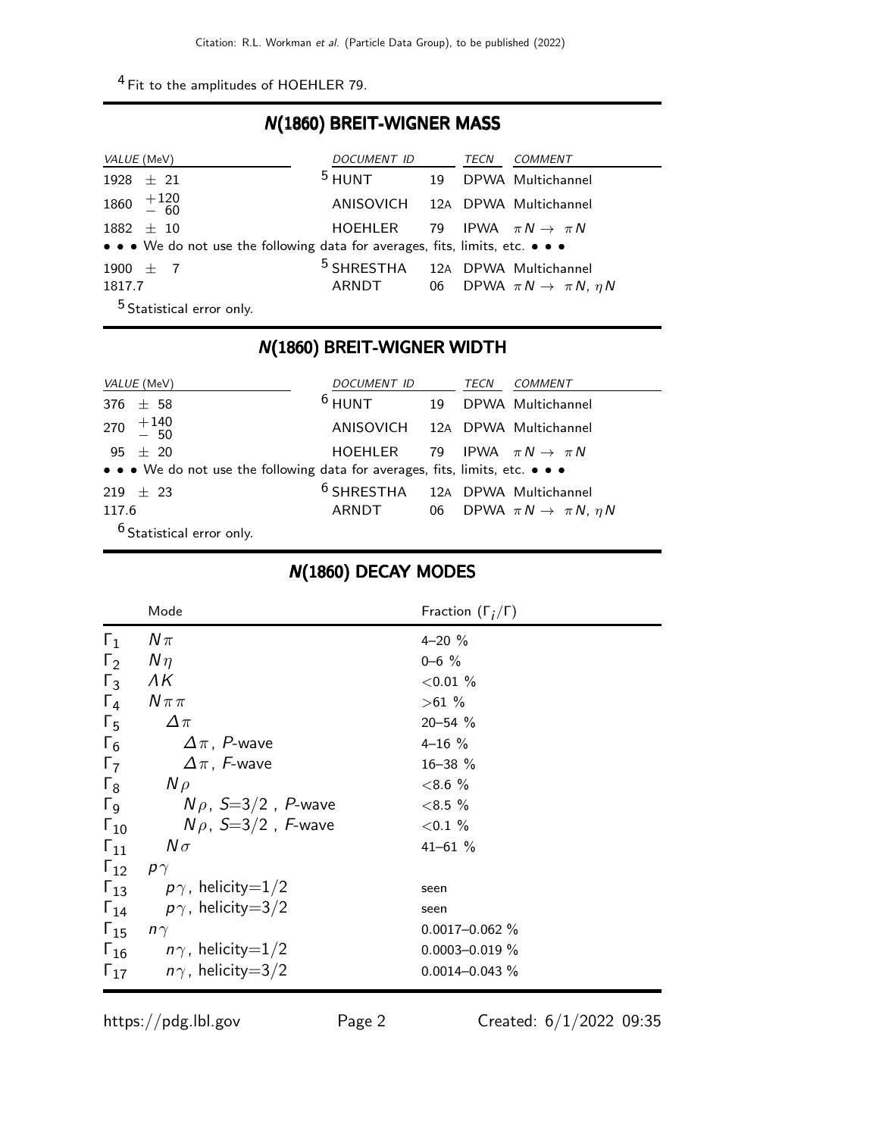4 Fit to the amplitudes of HOEHLER 79.

### N(1860) BREIT-WIGNER MASS

| <i>VALUE</i> (MeV)                                                            | DOCUMENT ID                                 |    | TECN | <i>COMMENT</i>                               |
|-------------------------------------------------------------------------------|---------------------------------------------|----|------|----------------------------------------------|
| $1928 \pm 21$                                                                 | $^5$ HUNT                                   | 19 |      | DPWA Multichannel                            |
| $1860 + 120$<br>- 60                                                          | ANISOVICH 12A DPWA Multichannel             |    |      |                                              |
| $1882 \pm 10$                                                                 | HOEHLER 79 IPWA $\pi N \rightarrow \pi N$   |    |      |                                              |
| • • • We do not use the following data for averages, fits, limits, etc. • • • |                                             |    |      |                                              |
| 1900 $\pm$ 7                                                                  | <sup>5</sup> SHRESTHA 12A DPWA Multichannel |    |      |                                              |
| 1817.7                                                                        | ARNDT                                       |    |      | 06 DPWA $\pi N \rightarrow \pi N$ , $\eta N$ |
| <sup>5</sup> Statistical error only.                                          |                                             |    |      |                                              |

### N(1860) BREIT-WIGNER WIDTH

| <i>VALUE</i> (MeV)                                                            | DOCUMENT ID                                 | TECN | <i>COMMENT</i>                               |
|-------------------------------------------------------------------------------|---------------------------------------------|------|----------------------------------------------|
| 376 $\pm$ 58                                                                  | $6$ HUNT                                    |      | 19 DPWA Multichannel                         |
| 270 $+140$<br>- 50                                                            | ANISOVICH 12A DPWA Multichannel             |      |                                              |
| 95 $\pm$ 20                                                                   | HOEHLER 79 IPWA $\pi N \rightarrow \pi N$   |      |                                              |
| • • • We do not use the following data for averages, fits, limits, etc. • • • |                                             |      |                                              |
| $219 + 23$                                                                    | <sup>6</sup> SHRESTHA 12A DPWA Multichannel |      |                                              |
| 117.6                                                                         | ARNDT                                       |      | 06 DPWA $\pi N \rightarrow \pi N$ , $\eta N$ |
| $6$ Statistical error only.                                                   |                                             |      |                                              |

## N(1860) DECAY MODES

|                       | Mode                                   | Fraction $(\Gamma_i/\Gamma)$ |
|-----------------------|----------------------------------------|------------------------------|
| $\Gamma_1$            | $N\pi$                                 | $4 - 20 \%$                  |
| $\Gamma_2$            | $N\eta$                                | $0 - 6$ %                    |
| $\Gamma_3$            | ΛК                                     | ${<}0.01%$                   |
| $\Gamma_4$            | $N\pi\pi$                              | >61%                         |
| $\Gamma_5$            | $\Delta \pi$                           | $20 - 54$ %                  |
| $\Gamma_6$            | $\Delta \pi$ , P-wave                  | $4 - 16 \%$                  |
| $\Gamma_7$            | $\Delta \pi$ , F-wave                  | 16-38 %                      |
| $\Gamma_8$            | $N \rho$                               | $< 8.6 \%$                   |
| $\Gamma$ <sub>9</sub> | $N\rho$ , $S=3/2$ , P-wave             | $< 8.5 \%$                   |
| $\Gamma_{10}$         | $N\rho$ , S=3/2, F-wave                | ${<}0.1\%$                   |
| $\Gamma_{11}$         | $N\sigma$                              | $41 - 61 \%$                 |
| $\Gamma_{12}$         | $\rho \gamma$                          |                              |
|                       | $\Gamma_{13}$ $p\gamma$ , helicity=1/2 | seen                         |
| $\Gamma_{14}$         | $p\gamma$ , helicity $=$ 3/2           | seen                         |
| $\Gamma_{15}$         | $n\gamma$                              | $0.0017 - 0.062 \%$          |
|                       | $\Gamma_{16}$ $n\gamma$ , helicity=1/2 | $0.0003 - 0.019 \%$          |
| $\Gamma_{17}$         | $n\gamma$ , helicity $=3/2$            | $0.0014 - 0.043 \%$          |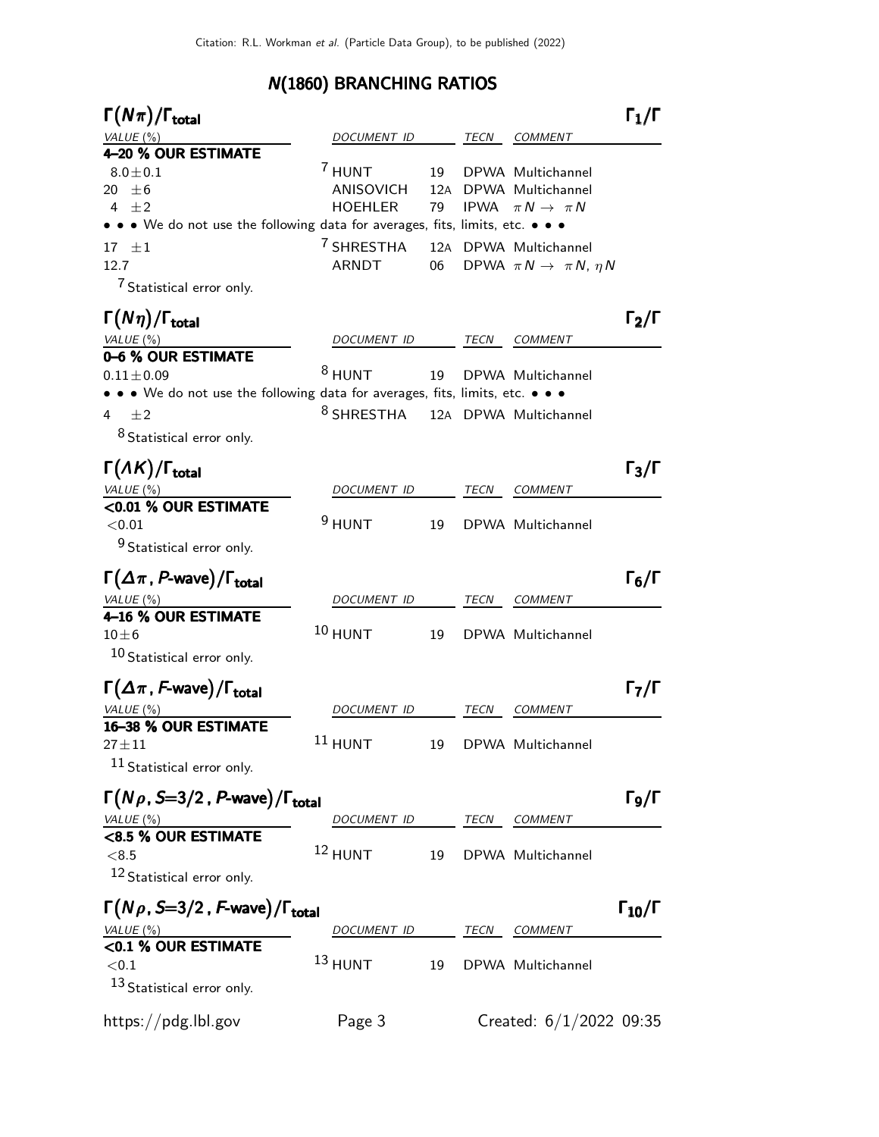# N(1860) BRANCHING RATIOS

| $\Gamma(N\pi)/\Gamma_{\rm total}$                                             |                       |    |             |                                           | $\Gamma_1/\Gamma$    |
|-------------------------------------------------------------------------------|-----------------------|----|-------------|-------------------------------------------|----------------------|
| VALUE (%)                                                                     | DOCUMENT ID           |    | TECN        | <i>COMMENT</i>                            |                      |
| 4-20 % OUR ESTIMATE                                                           |                       |    |             |                                           |                      |
| $8.0\pm0.1$                                                                   | 7 HUNT                | 19 |             | DPWA Multichannel                         |                      |
| 20 $\pm 6$                                                                    | ANISOVICH             |    |             | 12A DPWA Multichannel                     |                      |
| 4 $\pm 2$                                                                     | HOEHLER               | 79 |             | IPWA $\pi N \rightarrow \pi N$            |                      |
| • • • We do not use the following data for averages, fits, limits, etc. • • • |                       |    |             |                                           |                      |
| $17 \pm 1$                                                                    | <sup>7</sup> SHRESTHA |    |             | 12A DPWA Multichannel                     |                      |
| 12.7                                                                          | ARNDT                 | 06 |             | DPWA $\pi N \rightarrow \pi N$ , $\eta N$ |                      |
| <sup>7</sup> Statistical error only.                                          |                       |    |             |                                           |                      |
| $\Gamma(N\eta)/\Gamma_{\rm total}$                                            |                       |    |             |                                           | $\Gamma_2/\Gamma$    |
| VALUE(%)                                                                      | DOCUMENT ID           |    | TECN        | COMMENT                                   |                      |
| 0-6 % OUR ESTIMATE                                                            |                       |    |             |                                           |                      |
| $0.11 \pm 0.09$                                                               | $8$ HUNT              | 19 |             | DPWA Multichannel                         |                      |
| • • We do not use the following data for averages, fits, limits, etc. • • •   |                       |    |             |                                           |                      |
| ±2<br>4                                                                       | $^8$ SHRESTHA         |    |             | 12A DPWA Multichannel                     |                      |
| 8 Statistical error only.                                                     |                       |    |             |                                           |                      |
|                                                                               |                       |    |             |                                           |                      |
| $\Gamma(\Lambda K)/\Gamma_{\rm total}$                                        |                       |    |             |                                           | $\Gamma_3/\Gamma$    |
| VALUE (%)                                                                     | DOCUMENT ID           |    | TECN        | <b>COMMENT</b>                            |                      |
| <0.01 % OUR ESTIMATE                                                          |                       |    |             |                                           |                      |
| < 0.01                                                                        | $9$ HUNT              | 19 |             | DPWA Multichannel                         |                      |
| <sup>9</sup> Statistical error only.                                          |                       |    |             |                                           |                      |
| $\Gamma(\Delta \pi, P\text{-wave})/\Gamma_{\text{total}}$                     |                       |    |             |                                           | $\Gamma_6/\Gamma$    |
| VALUE $(\%)$                                                                  | DOCUMENT ID           |    | TECN        | <b>COMMENT</b>                            |                      |
| 4-16 % OUR ESTIMATE                                                           |                       |    |             |                                           |                      |
| $10\pm 6$                                                                     | $10$ HUNT             | 19 |             | DPWA Multichannel                         |                      |
| 10 Statistical error only.                                                    |                       |    |             |                                           |                      |
|                                                                               |                       |    |             |                                           |                      |
| $\Gamma(\Delta \pi, F\text{-wave})/\Gamma_\text{total}$                       |                       |    |             |                                           | $\Gamma_7/\Gamma$    |
| VALUE (%)                                                                     | <i>DOCUMENT ID</i>    |    | TECN        | <b>COMMENT</b>                            |                      |
| 16-38 % OUR ESTIMATE                                                          |                       |    |             |                                           |                      |
| $27 \pm 11$                                                                   | $11$ HUNT             | 19 |             | DPWA Multichannel                         |                      |
| 11 Statistical error only.                                                    |                       |    |             |                                           |                      |
|                                                                               |                       |    |             |                                           |                      |
| $\Gamma(N\rho, S=3/2, P$ -wave)/ $\Gamma_{\text{total}}$                      |                       |    |             |                                           | $\Gamma_{9}/\Gamma$  |
| VALUE $(\%)$                                                                  | DOCUMENT ID           |    | <b>TECN</b> | COMMENT                                   |                      |
| <8.5 % OUR ESTIMATE                                                           |                       |    |             |                                           |                      |
| < 8.5                                                                         | $12$ HUNT             | 19 |             | DPWA Multichannel                         |                      |
| 12 Statistical error only.                                                    |                       |    |             |                                           |                      |
|                                                                               |                       |    |             |                                           |                      |
| $\Gamma(N\rho, S=3/2, F$ -wave)/ $\Gamma_{\text{total}}$                      |                       |    |             |                                           | $\Gamma_{10}/\Gamma$ |
| VALUE (%)                                                                     | DOCUMENT ID           |    | TECN        | COMMENT                                   |                      |
| <0.1 % OUR ESTIMATE                                                           | $13$ HUNT             |    |             |                                           |                      |
| < 0.1                                                                         |                       | 19 |             | DPWA Multichannel                         |                      |
| 13 Statistical error only.                                                    |                       |    |             |                                           |                      |
|                                                                               |                       |    |             |                                           |                      |
| https://pdg.lbl.gov                                                           | Page 3                |    |             | Created: $6/1/2022$ 09:35                 |                      |